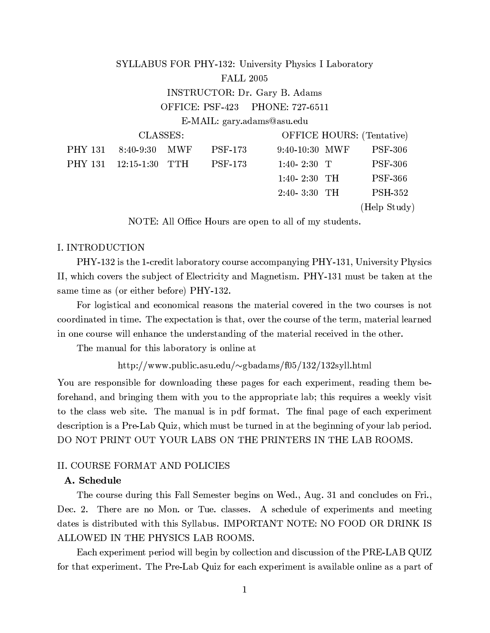#### SYLLABUS FOR PHY-132: University Physics I Laboratory **FALL 2005 INSTRUCTOR: Dr. Gary B. Adams** PHONE: 727-6511 OFFICE: PSF-423 E-MAIL: gary.adams@asu.edu CLASSES: **OFFICE HOURS:** (Tentative) **PHY 131**  $8:40-9:30$ **MWF PSF-173** 9:40-10:30 MWF **PSF-306 PHY 131 TTH**  $12:15 - 1:30$ **PSF-173**  $1:40 - 2:30$  T **PSF-306**  $1:40 - 2:30$  TH **PSF-366**  $2:40-3:30$  TH **PSH-352**

(Help Study)

NOTE: All Office Hours are open to all of my students.

## I. INTRODUCTION

PHY-132 is the 1-credit laboratory course accompanying PHY-131, University Physics II, which covers the subject of Electricity and Magnetism. PHY-131 must be taken at the same time as (or either before) PHY-132.

For logistical and economical reasons the material covered in the two courses is not coordinated in time. The expectation is that, over the course of the term, material learned in one course will enhance the understanding of the material received in the other.

The manual for this laboratory is online at

http://www.public.asu.edu/ $\sim$ gbadams/f05/132/132syll.html

You are responsible for downloading these pages for each experiment, reading them beforehand, and bringing them with you to the appropriate lab; this requires a weekly visit to the class web site. The manual is in pdf format. The final page of each experiment description is a Pre-Lab Quiz, which must be turned in at the beginning of your lab period. DO NOT PRINT OUT YOUR LABS ON THE PRINTERS IN THE LAB ROOMS.

## **II. COURSE FORMAT AND POLICIES**

# A. Schedule

The course during this Fall Semester begins on Wed., Aug. 31 and concludes on Fri., Dec. 2. There are no Mon. or Tue. classes. A schedule of experiments and meeting dates is distributed with this Syllabus. IMPORTANT NOTE: NO FOOD OR DRINK IS ALLOWED IN THE PHYSICS LAB ROOMS.

Each experiment period will begin by collection and discussion of the PRE-LAB QUIZ for that experiment. The Pre-Lab Quiz for each experiment is available online as a part of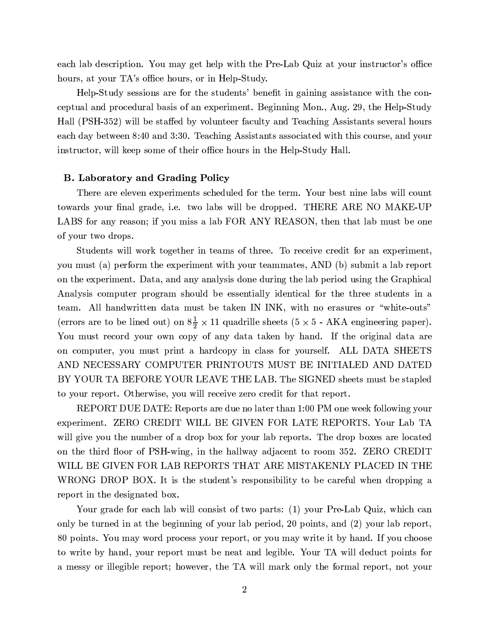each lab description. You may get help with the Pre-Lab Quiz at your instructor's office hours, at your TA's office hours, or in Help-Study.

Help-Study sessions are for the students' benefit in gaining assistance with the conceptual and procedural basis of an experiment. Beginning Mon., Aug. 29, the Help-Study Hall (PSH-352) will be staffed by volunteer faculty and Teaching Assistants several hours each day between 8:40 and 3:30. Teaching Assistants associated with this course, and your instructor, will keep some of their office hours in the Help-Study Hall.

### **B.** Laboratory and Grading Policy

There are eleven experiments scheduled for the term. Your best nine labs will count towards your final grade, i.e. two labs will be dropped. THERE ARE NO MAKE-UP LABS for any reason; if you miss a lab FOR ANY REASON, then that lab must be one of your two drops.

Students will work together in teams of three. To receive credit for an experiment, you must (a) perform the experiment with your teammates, AND (b) submit a lab report on the experiment. Data, and any analysis done during the lab period using the Graphical Analysis computer program should be essentially identical for the three students in a team. All handwritten data must be taken IN INK, with no erasures or "white-outs" (errors are to be lined out) on  $8\frac{1}{2} \times 11$  quadrille sheets (5  $\times$  5 - AKA engineering paper). You must record your own copy of any data taken by hand. If the original data are on computer, you must print a hardcopy in class for yourself. ALL DATA SHEETS AND NECESSARY COMPUTER PRINTOUTS MUST BE INITIALED AND DATED BY YOUR TA BEFORE YOUR LEAVE THE LAB. The SIGNED sheets must be stapled to your report. Otherwise, you will receive zero credit for that report.

REPORT DUE DATE: Reports are due no later than 1:00 PM one week following your experiment. ZERO CREDIT WILL BE GIVEN FOR LATE REPORTS. Your Lab TA will give you the number of a drop box for your lab reports. The drop boxes are located on the third floor of PSH-wing, in the hallway adjacent to room 352. ZERO CREDIT WILL BE GIVEN FOR LAB REPORTS THAT ARE MISTAKENLY PLACED IN THE WRONG DROP BOX. It is the student's responsibility to be careful when dropping a report in the designated box.

Your grade for each lab will consist of two parts: (1) your Pre-Lab Quiz, which can only be turned in at the beginning of your lab period, 20 points, and (2) your lab report, 80 points. You may word process your report, or you may write it by hand. If you choose to write by hand, your report must be neat and legible. Your TA will deduct points for a messy or illegible report; however, the TA will mark only the formal report, not your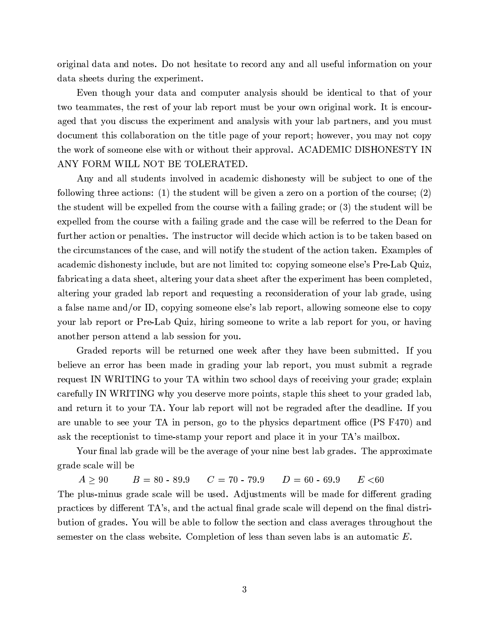original data and notes. Do not hesitate to record any and all useful information on your data sheets during the experiment.

Even though your data and computer analysis should be identical to that of your two teammates, the rest of your lab report must be your own original work. It is encouraged that you discuss the experiment and analysis with your lab partners, and you must document this collaboration on the title page of your report; however, you may not copy the work of someone else with or without their approval. ACADEMIC DISHONESTY IN ANY FORM WILL NOT BE TOLERATED.

Any and all students involved in academic dishonesty will be subject to one of the following three actions: (1) the student will be given a zero on a portion of the course; (2) the student will be expelled from the course with a failing grade; or  $(3)$  the student will be expelled from the course with a failing grade and the case will be referred to the Dean for further action or penalties. The instructor will decide which action is to be taken based on the circumstances of the case, and will notify the student of the action taken. Examples of academic dishonesty include, but are not limited to: copying someone else's Pre-Lab Quiz, fabricating a data sheet, altering your data sheet after the experiment has been completed, altering your graded lab report and requesting a reconsideration of your lab grade, using a false name and/or ID, copying someone else's lab report, allowing someone else to copy your lab report or Pre-Lab Quiz, hiring someone to write a lab report for you, or having another person attend a lab session for you.

Graded reports will be returned one week after they have been submitted. If you believe an error has been made in grading your lab report, you must submit a regrade request IN WRITING to your TA within two school days of receiving your grade; explain carefully IN WRITING why you deserve more points, staple this sheet to your graded lab, and return it to your TA. Your lab report will not be regraded after the deadline. If you are unable to see your TA in person, go to the physics department office (PS F470) and ask the receptionist to time-stamp your report and place it in your TA's mailbox.

Your final lab grade will be the average of your nine best lab grades. The approximate grade scale will be

 $B = 80 - 89.9$   $C = 70 - 79.9$   $D = 60 - 69.9$  $A\geq 90$  $E < 60$ The plus-minus grade scale will be used. Adjustments will be made for different grading practices by different TA's, and the actual final grade scale will depend on the final distribution of grades. You will be able to follow the section and class averages throughout the semester on the class website. Completion of less than seven labs is an automatic  $E$ .